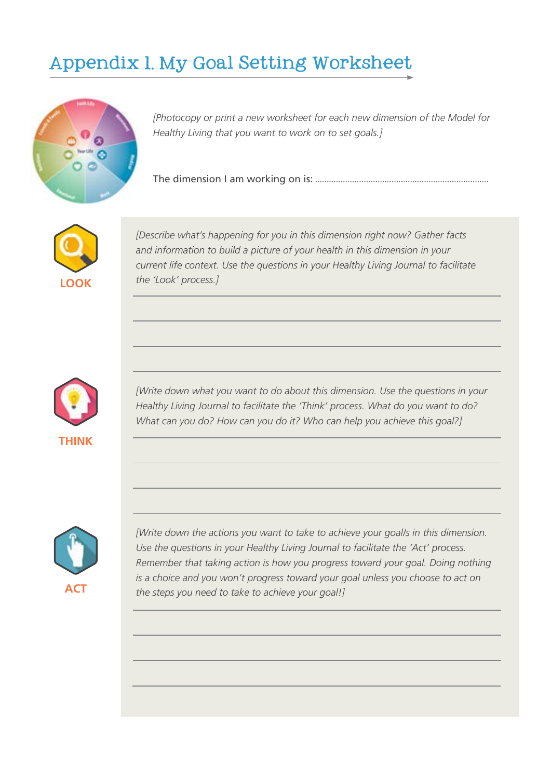## Appendix 1. My Goal Setting Worksheet



*[Photocopy or print a new worksheet for each new dimension of the Model for Healthy Living that you want to work on to set goals.]*

The dimension I am working on is: ...........................................................................



*[Describe what's happening for you in this dimension right now? Gather facts and information to build a picture of your health in this dimension in your current life context. Use the questions in your Healthy Living Journal to facilitate the 'Look' process.]* 



*[Write down what you want to do about this dimension. Use the questions in your Healthy Living Journal to facilitate the 'Think' process. What do you want to do? What can you do? How can you do it? Who can help you achieve this goal?]* 



*[Write down the actions you want to take to achieve your goal/s in this dimension. Use the questions in your Healthy Living Journal to facilitate the 'Act' process. Remember that taking action is how you progress toward your goal. Doing nothing is a choice and you won't progress toward your goal unless you choose to act on the steps you need to take to achieve your goal!]*